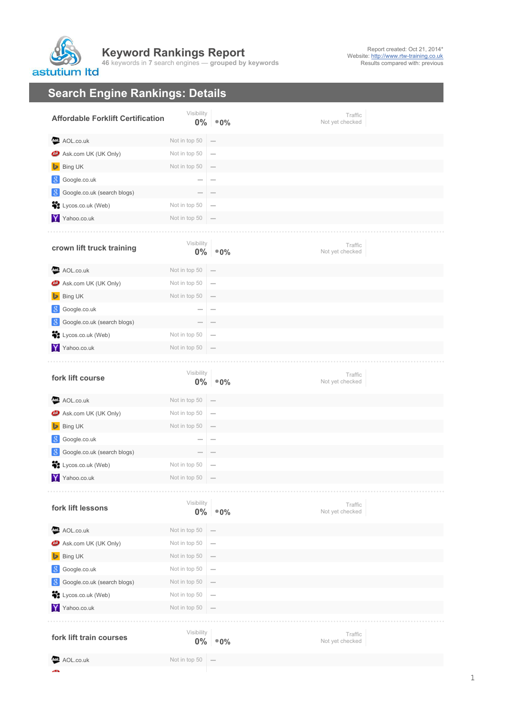## **Keyword Rankings Report 46** keywords in **7** search engines — **grouped by keywords** astutium Itd

## **Search Engine Rankings: Details**

.<br>Ekster

| <b>Affordable Forklift Certification</b> | Visibility          | $0\%$ $\degree$ 0%                    | Traffic<br>Not yet checked |
|------------------------------------------|---------------------|---------------------------------------|----------------------------|
| AOL.co.uk                                | Not in top 50       |                                       |                            |
| <b>49</b> Ask.com UK (UK Only)           | Not in top 50       | $\overline{\phantom{a}}$              |                            |
| Bing UK                                  | Not in top 50       |                                       |                            |
| Google.co.uk<br>8                        |                     |                                       |                            |
| Google.co.uk (search blogs)<br>-8        |                     |                                       |                            |
| St Lycos.co.uk (Web)                     | Not in top 50       | $\overline{\phantom{a}}$              |                            |
| Y Yahoo.co.uk                            | Not in top 50       |                                       |                            |
| crown lift truck training                | Visibility          | $0\%$ $^{\circ}$ 0%                   | Traffic<br>Not yet checked |
| AOL.co.uk                                | Not in top 50       |                                       |                            |
| <b>49</b> Ask.com UK (UK Only)           | Not in top 50       | $\overline{\phantom{m}}$              |                            |
| Bing UK                                  | Not in top 50       |                                       |                            |
| Google.co.uk<br>8                        |                     |                                       |                            |
| Google.co.uk (search blogs)<br>8         |                     |                                       |                            |
| Lycos.co.uk (Web)                        | Not in top 50       | $\sim$                                |                            |
| Y Yahoo.co.uk                            | Not in top 50       |                                       |                            |
| fork lift course                         | Visibility          | $0\%$ $^{\circ}$ 0%                   | Traffic<br>Not yet checked |
| AOL.co.uk                                | Not in top 50       |                                       |                            |
| <b>49</b> Ask.com UK (UK Only)           | Not in top 50       | $\overline{\phantom{m}}$              |                            |
| Bing UK                                  | Not in top 50       |                                       |                            |
| Google.co.uk                             |                     |                                       |                            |
| Google.co.uk (search blogs)              |                     |                                       |                            |
| Lycos.co.uk (Web)                        | Not in top 50       | $\hspace{1.0cm} \rule{1.5cm}{0.15cm}$ |                            |
| Y Yahoo.co.uk                            | Not in top 50       | $\hspace{0.1mm}-\hspace{0.1mm}$       |                            |
| fork lift lessons                        | Visibility          | $0\%$ $^{\circ}$ 0%                   | Traffic<br>Not yet checked |
| AOL.co.uk                                | Not in top 50       |                                       |                            |
| <b>49</b> Ask.com UK (UK Only)           | Not in top 50       | $\overline{\phantom{a}}$              |                            |
| Bing UK                                  | Not in top 50       |                                       |                            |
| Google.co.uk                             | Not in top 50       | $\overline{\phantom{a}}$              |                            |
| Google.co.uk (search blogs)              | Not in top 50       |                                       |                            |
| St Lycos.co.uk (Web)                     | Not in top 50       | $\overline{\phantom{m}}$              |                            |
| Y Yahoo.co.uk                            | Not in top 50       |                                       |                            |
|                                          |                     |                                       |                            |
| fork lift train courses                  | Visibility<br>$0\%$ | $^{\circ}0\%$                         | Traffic<br>Not yet checked |
|                                          |                     |                                       |                            |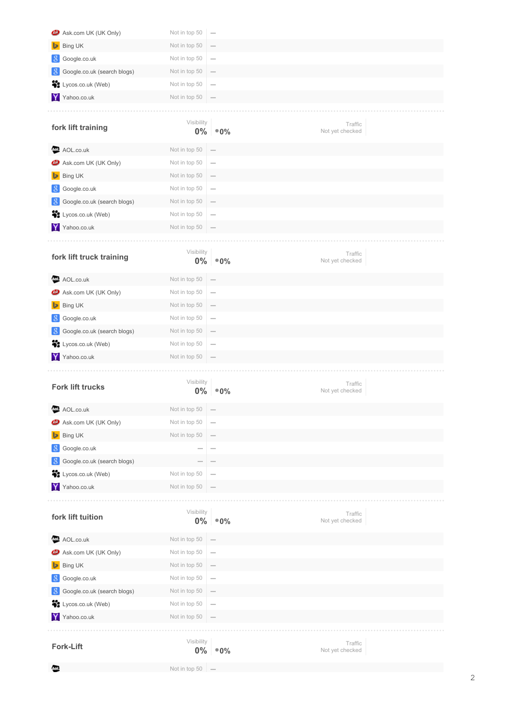| Ask.com UK (UK Only)<br>œ         |               |                          |                            |  |
|-----------------------------------|---------------|--------------------------|----------------------------|--|
|                                   | Not in top 50 | $\overline{\phantom{a}}$ |                            |  |
| Bing UK                           | Not in top 50 |                          |                            |  |
| Google.co.uk<br>-8                | Not in top 50 | $\overline{\phantom{a}}$ |                            |  |
| Google.co.uk (search blogs)       | Not in top 50 | $\overline{\phantom{0}}$ |                            |  |
| ä<br>Lycos.co.uk (Web)            | Not in top 50 |                          |                            |  |
| Y Yahoo.co.uk                     | Not in top 50 |                          |                            |  |
|                                   |               |                          |                            |  |
| fork lift training                | Visibility    | $0\%$ $\degree$ 0%       | Traffic<br>Not yet checked |  |
| AOL.co.uk                         | Not in top 50 |                          |                            |  |
| Ask.com UK (UK Only)              | Not in top 50 | $\overline{\phantom{a}}$ |                            |  |
| Bing UK                           | Not in top 50 | $\overline{\phantom{a}}$ |                            |  |
| Google.co.uk<br>-8                | Not in top 50 | $\overline{\phantom{a}}$ |                            |  |
| Google.co.uk (search blogs)<br>-8 | Not in top 50 |                          |                            |  |
| Lycos.co.uk (Web)                 | Not in top 50 | $\overline{\phantom{a}}$ |                            |  |
| Yahoo.co.uk<br>Y                  | Not in top 50 |                          |                            |  |
|                                   |               |                          |                            |  |
| fork lift truck training          | Visibility    | $0\%$ $\degree$ 0%       | Traffic<br>Not yet checked |  |
| AOL.co.uk<br>Aol.                 | Not in top 50 |                          |                            |  |
| Ask.com UK (UK Only)<br>œ         | Not in top 50 | $\overline{\phantom{a}}$ |                            |  |
| <b>Bing UK</b>                    | Not in top 50 |                          |                            |  |
| Google.co.uk<br>-8                | Not in top 50 | $\overline{\phantom{a}}$ |                            |  |
| Google.co.uk (search blogs)<br>-8 | Not in top 50 |                          |                            |  |
| ÷.<br>Lycos.co.uk (Web)           | Not in top 50 | $\overline{\phantom{a}}$ |                            |  |
| Y Yahoo.co.uk                     | Not in top 50 |                          |                            |  |
|                                   |               |                          |                            |  |
| <b>Fork lift trucks</b>           | Visibility    | $^{\circ}0\%$            | Traffic                    |  |
|                                   | $0\%$         |                          | Not yet checked            |  |
| AOL.co.uk<br>₩                    | Not in top 50 | $\overline{\phantom{0}}$ |                            |  |
| Ask.com UK (UK Only)              | Not in top 50 | $\overline{\phantom{0}}$ |                            |  |
| Bing UK                           | Not in top 50 |                          |                            |  |
| Google.co.uk<br>-8                |               |                          |                            |  |
| Google.co.uk (search blogs)<br>-8 |               |                          |                            |  |
| Lycos.co.uk (Web)                 | Not in top 50 |                          |                            |  |
| Y Yahoo.co.uk                     | Not in top 50 |                          |                            |  |
|                                   |               |                          |                            |  |
| fork lift tuition                 | Visibility    | $0\%$ $^{\circ}0\%$      | Traffic<br>Not yet checked |  |
| AOL.co.uk<br>QΘ.                  | Not in top 50 |                          |                            |  |
| <b>49</b> Ask.com UK (UK Only)    | Not in top 50 | $\overline{\phantom{a}}$ |                            |  |
| <b>Bing UK</b>                    | Not in top 50 |                          |                            |  |
| Google.co.uk                      | Not in top 50 | $\overline{\phantom{a}}$ |                            |  |
| Google.co.uk (search blogs)<br>8  | Not in top 50 |                          |                            |  |
| ÷.<br>Lycos.co.uk (Web)           | Not in top 50 | $\overline{\phantom{a}}$ |                            |  |
| Yahoo.co.uk<br>Y.                 | Not in top 50 |                          |                            |  |
|                                   |               |                          |                            |  |
| <b>Fork-Lift</b>                  | Visibility    | $0\%$ $^{\circ}$ 0%      | Traffic<br>Not yet checked |  |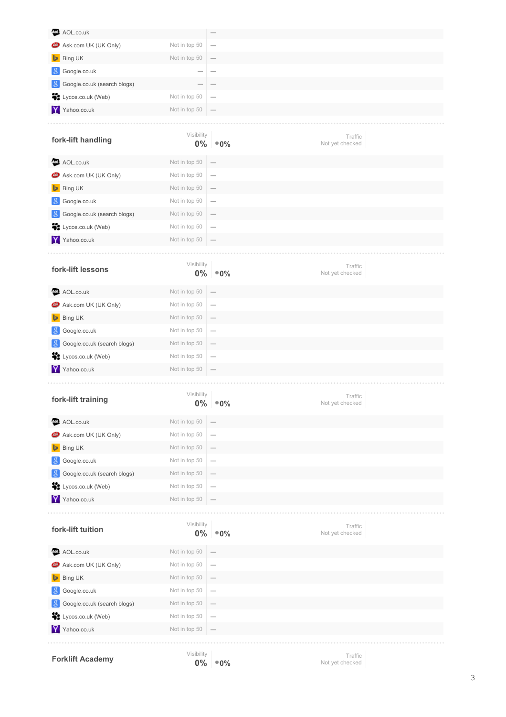| AOL.co.uk                         |                     |                                 |                            |
|-----------------------------------|---------------------|---------------------------------|----------------------------|
| Ask.com UK (UK Only)<br>అ         | Not in top 50       | $\qquad \qquad$                 |                            |
| Bing UK<br>⊵                      | Not in top 50       |                                 |                            |
| Google.co.uk                      |                     |                                 |                            |
| Google.co.uk (search blogs)       |                     |                                 |                            |
| ÷.<br>Lycos.co.uk (Web)           | Not in top 50       |                                 |                            |
| Y Yahoo.co.uk                     | Not in top 50       |                                 |                            |
|                                   |                     |                                 |                            |
| fork-lift handling                | Visibility<br>$0\%$ | $^{\circ}0\%$                   | Traffic<br>Not yet checked |
| AOL.co.uk                         | Not in top 50       |                                 |                            |
| Ask.com UK (UK Only)<br>œ         | Not in top 50       | $\hspace{0.1mm}-\hspace{0.1mm}$ |                            |
| Bing UK<br>Þ                      | Not in top 50       |                                 |                            |
| Google.co.uk<br>-8                | Not in top 50       | $\hspace{0.1mm}-\hspace{0.1mm}$ |                            |
| Google.co.uk (search blogs)       | Not in top 50       |                                 |                            |
| ÷.<br>Lycos.co.uk (Web)           | Not in top 50       |                                 |                            |
| Yahoo.co.uk                       | Not in top 50       | $\hspace{0.1mm}-\hspace{0.1mm}$ |                            |
|                                   |                     |                                 |                            |
| fork-lift lessons                 | Visibility<br>$0\%$ | $^{\circ}0\%$                   | Traffic<br>Not yet checked |
| AOL.co.uk<br>Aol.                 | Not in top 50       |                                 |                            |
| Ask.com UK (UK Only)              | Not in top 50       | $\overline{\phantom{a}}$        |                            |
| Bing UK<br>⊵                      | Not in top 50       | $\hspace{0.1mm}-\hspace{0.1mm}$ |                            |
| Google.co.uk<br><sup>8</sup>      | Not in top 50       | $\hspace{0.1mm}-\hspace{0.1mm}$ |                            |
| Google.co.uk (search blogs)<br>-8 | Not in top 50       |                                 |                            |
| ÷.<br>Lycos.co.uk (Web)           | Not in top 50       | $\overline{\phantom{a}}$        |                            |
| Y Yahoo.co.uk                     | Not in top 50       |                                 |                            |
|                                   |                     |                                 |                            |
| fork-lift training                | Visibility<br>$0\%$ | $^{\circ}0\%$                   | Traffic<br>Not yet checked |
| AOL.co.uk                         | Not in top 50       |                                 |                            |
| Ask.com UK (UK Only)              | Not in top 50       | $\overline{\phantom{a}}$        |                            |
| Bing UK                           | Not in top 50       |                                 |                            |
| Google.co.uk<br>-8                | Not in top 50       | $\overline{\phantom{a}}$        |                            |
| Google.co.uk (search blogs)<br>-8 | Not in top 50       |                                 |                            |
| Lycos.co.uk (Web)<br>ij,          | Not in top 50       |                                 |                            |
| Yahoo.co.uk                       | Not in top 50       |                                 |                            |
|                                   |                     |                                 |                            |
| fork-lift tuition                 | Visibility<br>$0\%$ | $^{\circ}0\%$                   | Traffic<br>Not yet checked |
| AOL.co.uk<br>Aol.                 | Not in top 50       |                                 |                            |
| Ask.com UK (UK Only)              | Not in top 50       |                                 |                            |
| Bing UK                           | Not in top 50       | $\hspace{0.1mm}-\hspace{0.1mm}$ |                            |
| Google.co.uk                      | Not in top 50       | $\hspace{0.1mm}-\hspace{0.1mm}$ |                            |
| Google.co.uk (search blogs)       | Not in top 50       |                                 |                            |
| ij.<br>Lycos.co.uk (Web)          | Not in top 50       |                                 |                            |
| Y<br>Yahoo.co.uk                  | Not in top 50       |                                 |                            |
|                                   |                     |                                 |                            |
| <b>Forklift Academy</b>           | Visibility          | $0\%$ = 0%                      | Traffic<br>Not vet checked |

Not yet checked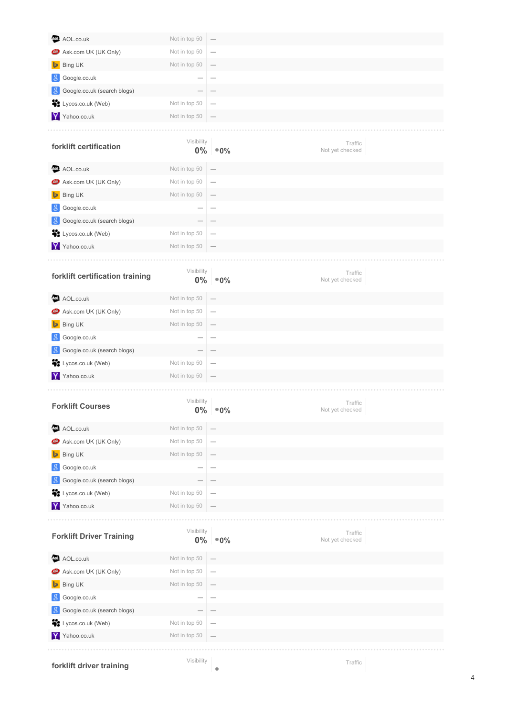| AOL.co.uk                         | Not in top 50            |                                                                                                                                                   |                            |
|-----------------------------------|--------------------------|---------------------------------------------------------------------------------------------------------------------------------------------------|----------------------------|
| Ask.com UK (UK Only)<br>అ         | Not in top 50            |                                                                                                                                                   |                            |
| Bing UK<br>ь                      | Not in top 50            |                                                                                                                                                   |                            |
| Google.co.uk                      |                          |                                                                                                                                                   |                            |
| Google.co.uk (search blogs)<br>-8 |                          |                                                                                                                                                   |                            |
| St Lycos.co.uk (Web)              | Not in top 50            | $\overline{\phantom{a}}$                                                                                                                          |                            |
| Y Yahoo.co.uk                     | Not in top 50            |                                                                                                                                                   |                            |
|                                   |                          |                                                                                                                                                   |                            |
| forklift certification            | Visibility               | $0\%$ $^{\circ}$ 0%                                                                                                                               | Traffic<br>Not yet checked |
| AOL.co.uk                         | Not in top 50            |                                                                                                                                                   |                            |
| Ask.com UK (UK Only)<br>♨         | Not in top 50            | $\overline{\phantom{a}}$                                                                                                                          |                            |
| Bing UK<br>ь                      | Not in top 50            | $\hspace{1.0cm} \overline{\hspace{1.0cm} \hspace{1.0cm} \hspace{1.0cm} } \hspace{1.0cm} \overline{\hspace{1.0cm} \hspace{1.0cm} \hspace{1.0cm} }$ |                            |
| Google.co.uk<br>-8                |                          |                                                                                                                                                   |                            |
| Google.co.uk (search blogs)<br>-8 |                          |                                                                                                                                                   |                            |
| ä.<br>Lycos.co.uk (Web)           | Not in top 50            | $\sim$                                                                                                                                            |                            |
| Y Yahoo.co.uk                     | Not in top 50            | $\overline{\phantom{a}}$                                                                                                                          |                            |
|                                   |                          |                                                                                                                                                   |                            |
| forklift certification training   | Visibility<br>$0\%$      | $^{\circ}0\%$                                                                                                                                     | Traffic<br>Not yet checked |
| AOL.co.uk                         | Not in top 50            | $\hspace{1.0cm} \rule{1.5cm}{0.15cm}$                                                                                                             |                            |
| <b>CD</b> Ask.com UK (UK Only)    | Not in top 50            | $\overline{\phantom{a}}$                                                                                                                          |                            |
| <b>Bing UK</b><br>ь               | Not in top 50            | $\hspace{1.0cm} \rule{1.5cm}{0.15cm}$                                                                                                             |                            |
| Google.co.uk<br>-8                | $\overline{\phantom{a}}$ | $\sim$                                                                                                                                            |                            |
| Google.co.uk (search blogs)<br>-8 |                          |                                                                                                                                                   |                            |
| ÷.<br>Lycos.co.uk (Web)           | Not in top 50            | $\overline{\phantom{0}}$                                                                                                                          |                            |
| Y<br>Yahoo.co.uk                  | Not in top 50            |                                                                                                                                                   |                            |
|                                   |                          |                                                                                                                                                   |                            |
| <b>Forklift Courses</b>           | Visibility<br>$0\%$      | $^{\circ}0\%$                                                                                                                                     | Traffic<br>Not yet checked |
| AOL.co.uk<br>Aol.                 | Not in top 50            |                                                                                                                                                   |                            |
| Ask.com UK (UK Only)              | Not in top 50            | $\overline{\phantom{m}}$                                                                                                                          |                            |
| Bing UK                           | Not in top 50            | $\hspace{0.1mm}-\hspace{0.1mm}$                                                                                                                   |                            |
| Google.co.uk<br>-8                |                          | $\overline{\phantom{a}}$                                                                                                                          |                            |
| Google.co.uk (search blogs)<br>-8 |                          |                                                                                                                                                   |                            |
| ij,<br>Lycos.co.uk (Web)          | Not in top 50            | $\overline{\phantom{m}}$                                                                                                                          |                            |
| Y Yahoo.co.uk                     | Not in top 50            |                                                                                                                                                   |                            |
|                                   |                          |                                                                                                                                                   |                            |
| <b>Forklift Driver Training</b>   | Visibility<br>$0\%$      | $^{\circ}0\%$                                                                                                                                     | Traffic<br>Not yet checked |
| AOL.co.uk<br>4oI.                 | Not in top 50            |                                                                                                                                                   |                            |
| Ask.com UK (UK Only)              | Not in top 50            | $\overline{\phantom{a}}$                                                                                                                          |                            |
| Bing UK                           | Not in top 50            |                                                                                                                                                   |                            |
| Google.co.uk<br>8                 |                          | $\sim$                                                                                                                                            |                            |
| Google.co.uk (search blogs)<br>-8 |                          |                                                                                                                                                   |                            |
| St Lycos.co.uk (Web)              | Not in top 50            | $\overline{\phantom{m}}$                                                                                                                          |                            |
| Y Yahoo.co.uk                     | Not in top 50            |                                                                                                                                                   |                            |
|                                   |                          |                                                                                                                                                   |                            |
| forklift driver training          | Visibility               |                                                                                                                                                   | Traffic                    |

**forklift driver training**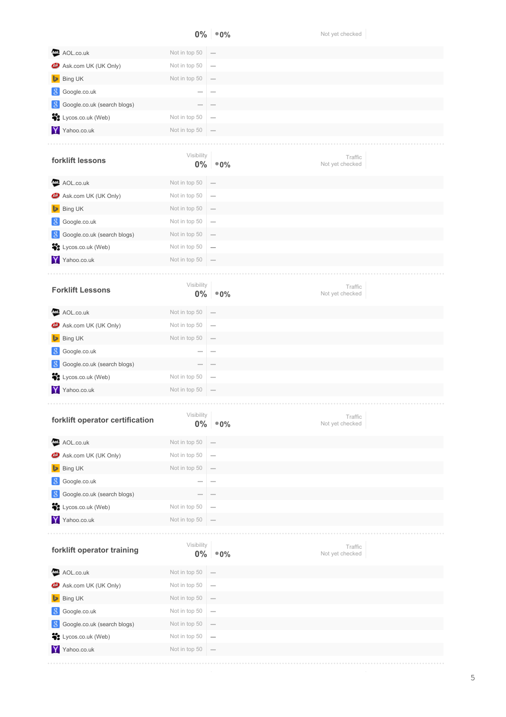|                                                                                                                                 |                     | $0\%$ $^{\circ}$ 0%                   | Not yet checked            |
|---------------------------------------------------------------------------------------------------------------------------------|---------------------|---------------------------------------|----------------------------|
| AOL.co.uk<br>Aol.                                                                                                               | Not in top 50       |                                       |                            |
| Ask.com UK (UK Only)<br>ω                                                                                                       | Not in top 50       | $\overline{\phantom{a}}$              |                            |
| Bing UK                                                                                                                         | Not in top 50       |                                       |                            |
| Google.co.uk                                                                                                                    |                     | $\overline{\phantom{a}}$              |                            |
| Google.co.uk (search blogs)<br>8                                                                                                |                     |                                       |                            |
| ij.<br>Lycos.co.uk (Web)                                                                                                        | Not in top 50       |                                       |                            |
| Y Yahoo.co.uk                                                                                                                   | Not in top 50       |                                       |                            |
|                                                                                                                                 |                     |                                       |                            |
| forklift lessons                                                                                                                | Visibility<br>$0\%$ | $^{\circ}0\%$                         | Traffic<br>Not yet checked |
| AOL.co.uk<br>Aol.                                                                                                               | Not in top 50       |                                       |                            |
| Ask.com UK (UK Only)<br>ω                                                                                                       | Not in top 50       | $\overline{\phantom{a}}$              |                            |
| Bing UK                                                                                                                         | Not in top 50       | $\overline{\phantom{a}}$              |                            |
| Google.co.uk                                                                                                                    | Not in top 50       | $\overline{\phantom{a}}$              |                            |
| Google.co.uk (search blogs)                                                                                                     | Not in top 50       | $\overline{\phantom{a}}$              |                            |
| ij.<br>Lycos.co.uk (Web)                                                                                                        | Not in top 50       |                                       |                            |
| Y Yahoo.co.uk                                                                                                                   | Not in top 50       |                                       |                            |
|                                                                                                                                 |                     |                                       |                            |
| <b>Forklift Lessons</b>                                                                                                         | Visibility          | $0\%$ $^{\circ}$ 0%                   | Traffic<br>Not yet checked |
| AOL.co.uk                                                                                                                       | Not in top 50       |                                       |                            |
| Ask.com UK (UK Only)<br>అ                                                                                                       | Not in top 50       | $\overline{\phantom{a}}$              |                            |
| Bing UK<br>⊵                                                                                                                    | Not in top 50       |                                       |                            |
| Google.co.uk                                                                                                                    |                     |                                       |                            |
| Google.co.uk (search blogs)                                                                                                     |                     |                                       |                            |
|                                                                                                                                 |                     | $\overline{\phantom{0}}$              |                            |
| Lycos.co.uk (Web)                                                                                                               | Not in top 50       |                                       |                            |
| Yahoo.co.uk                                                                                                                     | Not in top 50       |                                       |                            |
|                                                                                                                                 | Visibility<br>$0\%$ | $^{\circ}0\%$                         | Traffic<br>Not yet checked |
| AOL.co.uk                                                                                                                       | Not in top 50       |                                       |                            |
| Ask.com UK (UK Only)                                                                                                            | Not in top 50       | $\overline{\phantom{a}}$              |                            |
| Bing UK                                                                                                                         | Not in top 50       |                                       |                            |
| Google.co.uk                                                                                                                    |                     |                                       |                            |
| Google.co.uk (search blogs)                                                                                                     |                     |                                       |                            |
| Lycos.co.uk (Web)                                                                                                               | Not in top 50       | $\sim$                                |                            |
|                                                                                                                                 | Not in top 50       |                                       |                            |
|                                                                                                                                 | Visibility<br>$0\%$ | $^{\circ}0\%$                         | Traffic<br>Not yet checked |
| AOL.co.uk                                                                                                                       | Not in top 50       |                                       |                            |
| Ask.com UK (UK Only)                                                                                                            | Not in top 50       | $\overline{\phantom{a}}$              |                            |
| ij,<br>-8<br>AoI.<br>Bing UK<br>ь                                                                                               | Not in top 50       | $\hspace{1.0cm} \rule{1.5cm}{0.15cm}$ |                            |
| Y<br>forklift operator certification<br>AoI.<br>ω<br>8<br>÷.<br>Yahoo.co.uk<br>forklift operator training<br>Google.co.uk<br>-8 | Not in top 50       | $\overline{\phantom{a}}$              |                            |
| Google.co.uk (search blogs)                                                                                                     | Not in top 50       | $\hspace{0.1mm}-\hspace{0.1mm}$       |                            |
| -8<br>÷.<br>Lycos.co.uk (Web)                                                                                                   | Not in top 50       |                                       |                            |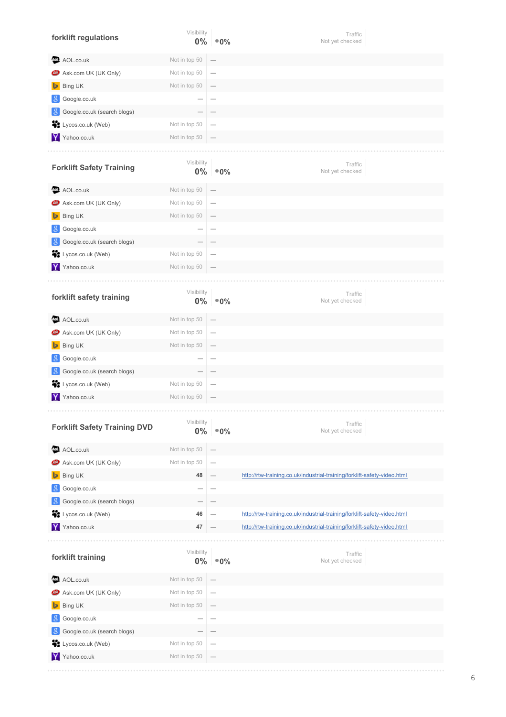| forklift regulations                | Visibility<br>$0\%$      | $^{\circ}0\%$            | Traffic<br>Not yet checked                                               |
|-------------------------------------|--------------------------|--------------------------|--------------------------------------------------------------------------|
| AOL.co.uk<br>Aol.                   | Not in top 50            |                          |                                                                          |
| Ask.com UK (UK Only)<br>©           | Not in top 50            | -                        |                                                                          |
| Bing UK                             | Not in top 50            |                          |                                                                          |
| Google.co.uk<br>-8                  |                          |                          |                                                                          |
| Google.co.uk (search blogs)<br>-8   |                          |                          |                                                                          |
| ÷.<br>Lycos.co.uk (Web)             | Not in top 50            |                          |                                                                          |
| Y<br>Yahoo.co.uk                    | Not in top 50            |                          |                                                                          |
| <b>Forklift Safety Training</b>     | Visibility<br>$0\%$      | $^{\circ}0\%$            | Traffic<br>Not yet checked                                               |
| AOL.co.uk                           | Not in top 50            |                          |                                                                          |
| Ask.com UK (UK Only)                | Not in top 50            | -                        |                                                                          |
| Bing UK<br>⊵                        | Not in top 50            |                          |                                                                          |
| Google.co.uk<br>8                   |                          |                          |                                                                          |
| Google.co.uk (search blogs)<br>-8   |                          |                          |                                                                          |
| ÷.<br>Lycos.co.uk (Web)             | Not in top 50            |                          |                                                                          |
| Y Yahoo.co.uk                       | Not in top 50            |                          |                                                                          |
|                                     |                          |                          |                                                                          |
| forklift safety training            | Visibility<br>$0\%$      | $^{\circ}0\%$            | Traffic<br>Not yet checked                                               |
| AOL.co.uk<br>Aol.                   | Not in top 50            |                          |                                                                          |
| Ask.com UK (UK Only)                | Not in top 50            | -                        |                                                                          |
| Bing UK                             | Not in top 50            |                          |                                                                          |
| Google.co.uk<br>8                   |                          |                          |                                                                          |
| -8<br>Google.co.uk (search blogs)   |                          |                          |                                                                          |
| ij,<br>Lycos.co.uk (Web)            | Not in top 50            |                          |                                                                          |
| Y<br>Yahoo.co.uk                    | Not in top 50            |                          |                                                                          |
| <b>Forklift Safety Training DVD</b> | Visibility<br>$0\%$      | $^{\circ}0\%$            | Traffic<br>Not yet checked                                               |
| AOL.co.uk<br>AoI.                   | Not in top 50            |                          |                                                                          |
| Ask.com UK (UK Only)                | Not in top 50            |                          |                                                                          |
| Bing UK<br>D                        | 48                       |                          | http://rtw-training.co.uk/industrial-training/forklift-safety-video.html |
| Google.co.uk<br>-8                  |                          |                          |                                                                          |
| Google.co.uk (search blogs)<br>8    |                          |                          |                                                                          |
| ä.<br>Lycos.co.uk (Web)             | 46                       |                          | http://rtw-training.co.uk/industrial-training/forklift-safety-video.html |
| Y<br>Yahoo.co.uk                    | 47                       |                          | http://rtw-training.co.uk/industrial-training/forklift-safety-video.html |
|                                     |                          |                          |                                                                          |
| forklift training                   | Visibility<br>$0\%$      | $^{\circ}$ 0%            | Traffic<br>Not yet checked                                               |
| AOL.co.uk<br>AoI.                   | Not in top 50            |                          |                                                                          |
| Ask.com UK (UK Only)                | Not in top 50            | -                        |                                                                          |
| Bing UK                             | Not in top 50            |                          |                                                                          |
| 8<br>Google.co.uk                   | $\overline{\phantom{a}}$ | $\overline{\phantom{a}}$ |                                                                          |
| -8<br>Google.co.uk (search blogs)   |                          |                          |                                                                          |
| ä<br>Lycos.co.uk (Web)              | Not in top 50            |                          |                                                                          |
| Y Yahoo.co.uk                       | Not in top 50            |                          |                                                                          |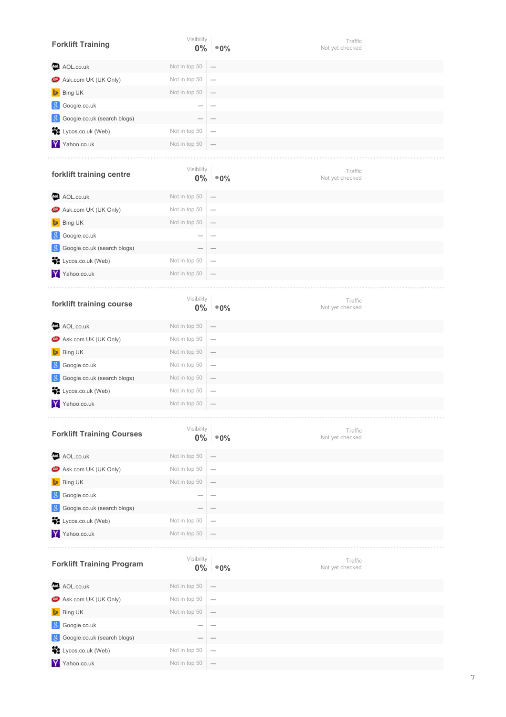| <b>Forklift Training</b>         | Visibility<br>$0\%$ | $^{\circ}0\%$                   | Traffic<br>Not yet checked |
|----------------------------------|---------------------|---------------------------------|----------------------------|
| AOL.co.uk<br>ຜ⊍                  | Not in top 50       |                                 |                            |
| Ask.com UK (UK Only)<br>ω        | Not in top 50       | $\overline{\phantom{m}}$        |                            |
| Bing UK<br>Þ                     | Not in top 50       |                                 |                            |
| Google.co.uk<br>8                |                     | $\sim$                          |                            |
| 8<br>Google.co.uk (search blogs) |                     |                                 |                            |
| ÷.<br>Lycos.co.uk (Web)          | Not in top 50       |                                 |                            |
| Y Yahoo.co.uk                    | Not in top 50       |                                 |                            |
|                                  |                     |                                 |                            |
| forklift training centre         | Visibility<br>$0\%$ | $^{\circ}0\%$                   | Traffic<br>Not yet checked |
| AOL.co.uk<br>Aol.                | Not in top 50       |                                 |                            |
| Ask.com UK (UK Only)             | Not in top 50       | $\overline{\phantom{m}}$        |                            |
| Bing UK                          | Not in top 50       |                                 |                            |
| 8<br>Google.co.uk                |                     | $\overline{\phantom{a}}$        |                            |
| Google.co.uk (search blogs)<br>8 |                     |                                 |                            |
| Lycos.co.uk (Web)                | Not in top 50       | $\qquad \qquad$                 |                            |
| Y Yahoo.co.uk                    | Not in top 50       |                                 |                            |
|                                  |                     |                                 |                            |
| forklift training course         | Visibility<br>$0\%$ | $^\circledast$ 0%               | Traffic<br>Not yet checked |
| AOL.co.uk<br>Aol.                | Not in top 50       |                                 |                            |
| Ask.com UK (UK Only)             | Not in top 50       | $\overline{\phantom{m}}$        |                            |
| Bing UK                          | Not in top 50       |                                 |                            |
| Google.co.uk                     | Not in top 50       | $\overline{\phantom{0}}$        |                            |
| Google.co.uk (search blogs)<br>8 | Not in top 50       |                                 |                            |
| ij,<br>Lycos.co.uk (Web)         | Not in top 50       | $\hspace{0.1mm}-\hspace{0.1mm}$ |                            |
| Y Yahoo.co.uk                    | Not in top 50       |                                 |                            |
|                                  |                     |                                 |                            |
| <b>Forklift Training Courses</b> | Visibility<br>$0\%$ | $^{\circ}0\%$                   | Traffic<br>Not yet checked |
| AOL.co.uk<br>AoI.                | Not in top 50       |                                 |                            |
| Ask.com UK (UK Only)<br>©        | Not in top 50       |                                 |                            |
| Bing UK                          | Not in top 50       |                                 |                            |
| Google.co.uk<br>8                |                     |                                 |                            |
| Google.co.uk (search blogs)<br>8 |                     |                                 |                            |
| Lycos.co.uk (Web)<br>ä9          | Not in top 50       |                                 |                            |
| Y Yahoo.co.uk                    | Not in top 50       |                                 |                            |
|                                  |                     |                                 |                            |
| <b>Forklift Training Program</b> | Visibility<br>$0\%$ | $^{\circ}0\%$                   | Traffic<br>Not yet checked |
| AOL.co.uk                        | Not in top 50       | $\overline{\phantom{0}}$        |                            |
| Ask.com UK (UK Only)<br>o        | Not in top 50       | $\overline{\phantom{a}}$        |                            |
| Bing UK<br>⊵                     | Not in top 50       | $\overline{\phantom{0}}$        |                            |
| Google.co.uk<br>-8               |                     |                                 |                            |
| Google.co.uk (search blogs)      |                     |                                 |                            |
| Lycos.co.uk (Web)                | Not in top 50       | $\overline{\phantom{0}}$        |                            |
| Y Yahoo.co.uk                    | Not in top 50       | $\overline{\phantom{a}}$        |                            |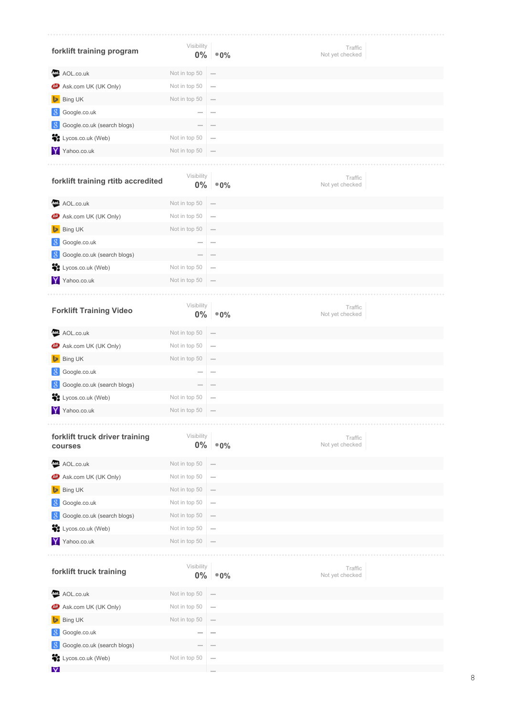| forklift training program                 | Visibility          | $0\%$ $^{\circ}$ 0%                   | Traffic<br>Not yet checked |
|-------------------------------------------|---------------------|---------------------------------------|----------------------------|
| AOL.co.uk<br>Aol.                         | Not in top 50       |                                       |                            |
| Ask.com UK (UK Only)<br>అ                 | Not in top 50       | $\overline{\phantom{m}}$              |                            |
| <b>Bing UK</b>                            | Not in top 50       |                                       |                            |
| Google.co.uk                              |                     |                                       |                            |
| Google.co.uk (search blogs)               |                     |                                       |                            |
| ÷.<br>Lycos.co.uk (Web)                   | Not in top 50       | $\qquad \qquad$                       |                            |
| Y Yahoo.co.uk                             | Not in top 50       |                                       |                            |
|                                           |                     |                                       |                            |
| forklift training rtitb accredited        | Visibility          | $0\%$ $^{\circ}$ 0%                   | Traffic<br>Not yet checked |
| AOL.co.uk                                 | Not in top 50       |                                       |                            |
| <b>49</b> Ask.com UK (UK Only)            | Not in top 50       | $\overline{\phantom{a}}$              |                            |
| <b>Bing UK</b><br>⊵                       | Not in top 50       | $\hspace{0.1mm}-\hspace{0.1mm}$       |                            |
| Google.co.uk<br>-8                        |                     | $\overline{\phantom{a}}$              |                            |
| Google.co.uk (search blogs)               |                     |                                       |                            |
| ÷.<br>Lycos.co.uk (Web)                   | Not in top 50       | $\overline{\phantom{m}}$              |                            |
| Y Yahoo.co.uk                             | Not in top 50       |                                       |                            |
|                                           |                     |                                       |                            |
| <b>Forklift Training Video</b>            | Visibility          | $0\%$ $\degree 0\%$                   | Traffic<br>Not yet checked |
| AOL.co.uk<br>Aol.                         | Not in top 50       |                                       |                            |
| Ask.com UK (UK Only)                      | Not in top 50       | $\overline{\phantom{m}}$              |                            |
| <b>Bing UK</b>                            | Not in top 50       | $\overline{\phantom{0}}$              |                            |
| Google.co.uk<br>-8                        |                     | $\sim$                                |                            |
| Google.co.uk (search blogs)<br>-8         |                     |                                       |                            |
| ÷.<br>Lycos.co.uk (Web)                   | Not in top 50       | $\hspace{0.1mm}-\hspace{0.1mm}$       |                            |
| Ÿ<br>Yahoo.co.uk                          | Not in top 50       | $\hspace{0.1mm}-\hspace{0.1mm}$       |                            |
|                                           |                     |                                       |                            |
| forklift truck driver training<br>courses | Visibility<br>$0\%$ | $^\circledR$ 0%                       | Traffic<br>Not yet checked |
| AOL.co.uk                                 | Not in top 50       | $\hspace{1.0cm} \rule{1.5cm}{0.15cm}$ |                            |
| Ask.com UK (UK Only)<br>అ                 | Not in top 50       | $\hspace{0.1mm}-\hspace{0.1mm}$       |                            |
| <b>Bing UK</b><br>Þ                       | Not in top 50       | $\qquad \qquad$                       |                            |
| Google.co.uk                              | Not in top 50       | $\overline{\phantom{m}}$              |                            |
| Google.co.uk (search blogs)               | Not in top 50       | $\overline{\phantom{a}}$              |                            |
| ä.<br>Lycos.co.uk (Web)                   | Not in top 50       | $\overline{\phantom{m}}$              |                            |
| Ÿ<br>Yahoo.co.uk                          | Not in top 50       |                                       |                            |
|                                           |                     |                                       |                            |
| forklift truck training                   | Visibility<br>$0\%$ | $^{\circ}0\%$                         | Traffic<br>Not yet checked |
| AOL.co.uk<br>Aol.                         | Not in top 50       |                                       |                            |
| Ask.com UK (UK Only)                      | Not in top 50       | $\overline{\phantom{a}}$              |                            |
| Bing UK                                   | Not in top 50       | $\overline{\phantom{0}}$              |                            |
| Google.co.uk<br>-8                        |                     | $\overline{\phantom{m}}$              |                            |
| Google.co.uk (search blogs)<br>-8         |                     |                                       |                            |
| ÷.<br>Lycos.co.uk (Web)                   | Not in top 50       | $\overline{\phantom{m}}$              |                            |
| $\overline{\mathsf{v}}$                   |                     |                                       |                            |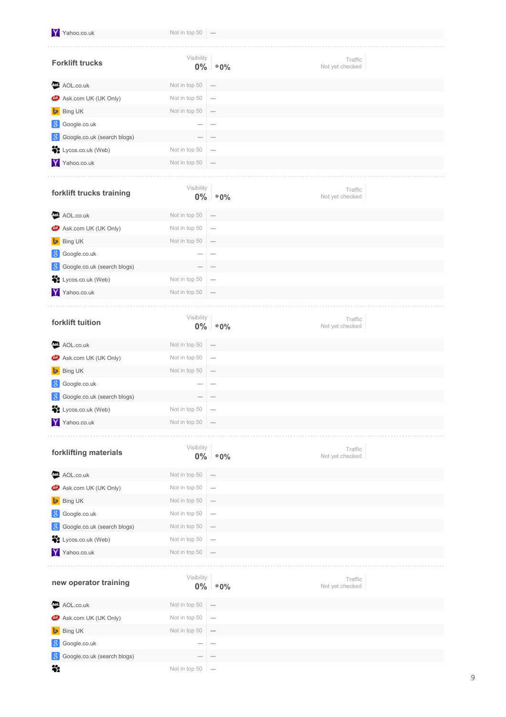| Y Yahoo.co.uk                     | Not in top 50 $-$   |                          |                            |
|-----------------------------------|---------------------|--------------------------|----------------------------|
|                                   |                     |                          |                            |
| <b>Forklift trucks</b>            | Visibility<br>$0\%$ | $^{\circ}0\%$            | Traffic<br>Not yet checked |
| AOL.co.uk                         | Not in top 50       |                          |                            |
| Ask.com UK (UK Only)<br>₾         | Not in top 50       |                          |                            |
| Bing UK<br>Þ                      | Not in top 50       |                          |                            |
| Google.co.uk<br>-8                |                     |                          |                            |
| Google.co.uk (search blogs)<br>-8 |                     |                          |                            |
| Lycos.co.uk (Web)                 | Not in top 50       |                          |                            |
| Y Yahoo.co.uk                     | Not in top 50       |                          |                            |
|                                   |                     |                          |                            |
| forklift trucks training          | Visibility<br>$0\%$ | $^{\circ}0\%$            | Traffic<br>Not yet checked |
| AOL.co.uk<br>AoI.                 | Not in top 50       |                          |                            |
| Ask.com UK (UK Only)<br>œ         | Not in top 50       | $\overline{\phantom{0}}$ |                            |
| Bing UK<br>ь                      | Not in top 50       |                          |                            |
| Google.co.uk<br>8                 |                     | $\overline{\phantom{a}}$ |                            |
| Google.co.uk (search blogs)<br>-8 |                     |                          |                            |
| Lycos.co.uk (Web)                 | Not in top 50       |                          |                            |
| Y Yahoo.co.uk                     | Not in top 50       |                          |                            |
|                                   |                     |                          |                            |
| forklift tuition                  | Visibility<br>$0\%$ | $^{\circ}0\%$            | Traffic<br>Not yet checked |
| AOL.co.uk<br>AoL                  | Not in top 50       |                          |                            |
| Ask.com UK (UK Only)              | Not in top 50       | $\overline{\phantom{0}}$ |                            |
| Bing UK                           | Not in top 50       |                          |                            |
| Google.co.uk<br>8                 |                     |                          |                            |
| Google.co.uk (search blogs)       |                     |                          |                            |
| ш.<br>Lycos.co.uk (Web)           | Not in top 50       |                          |                            |
| Y Yahoo.co.uk                     | Not in top 50       |                          |                            |
|                                   |                     |                          |                            |
| forklifting materials             | Visibility<br>$0\%$ | $^{\circ}0\%$            | Traffic<br>Not yet checked |
| AOL.co.uk                         | Not in top 50       |                          |                            |
| Ask.com UK (UK Only)              | Not in top 50       | -                        |                            |
| Bing UK                           | Not in top 50       |                          |                            |
| Google.co.uk<br>-8                | Not in top 50       | $\overline{\phantom{m}}$ |                            |
| Google.co.uk (search blogs)<br>8  | Not in top 50       |                          |                            |
| ÷.<br>Lycos.co.uk (Web)           | Not in top 50       |                          |                            |
| Y Yahoo.co.uk                     | Not in top 50       |                          |                            |
|                                   |                     |                          |                            |
| new operator training             | Visibility<br>$0\%$ | $^{\circ}0\%$            | Traffic<br>Not yet checked |
| AOL.co.uk<br>Aol.                 | Not in top 50       |                          |                            |
| Ask.com UK (UK Only)<br>ω         | Not in top 50       | $\overline{\phantom{a}}$ |                            |
| Bing UK                           | Not in top 50       |                          |                            |
| Google.co.uk<br>8                 |                     |                          |                            |
| Google.co.uk (search blogs)       |                     |                          |                            |
| ä.                                | Not in top 50       |                          |                            |